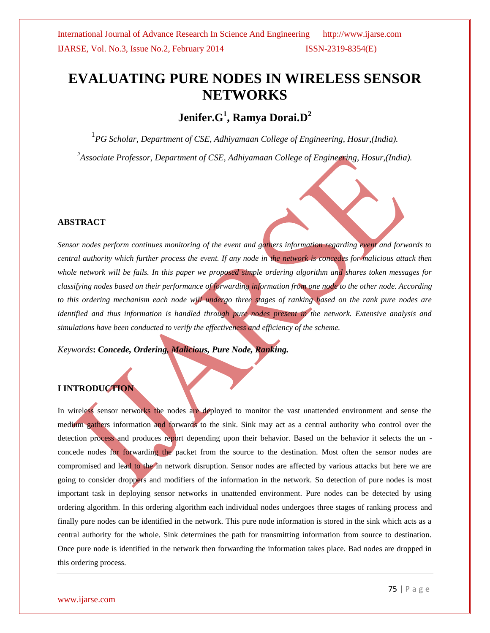# **EVALUATING PURE NODES IN WIRELESS SENSOR NETWORKS**

## **Jenifer.G<sup>1</sup> , Ramya Dorai.D<sup>2</sup>**

1 *PG Scholar, Department of CSE, Adhiyamaan College of Engineering, Hosur,(India).*

*<sup>2</sup>Associate Professor, Department of CSE, Adhiyamaan College of Engineering, Hosur,(India).*

### **ABSTRACT**

*Sensor nodes perform continues monitoring of the event and gathers information regarding event and forwards to central authority which further process the event. If any node in the network is concedes for malicious attack then whole network will be fails. In this paper we proposed simple ordering algorithm and shares token messages for classifying nodes based on their performance of forwarding information from one node to the other node. According to this ordering mechanism each node will undergo three stages of ranking based on the rank pure nodes are identified and thus information is handled through pure nodes present in the network. Extensive analysis and simulations have been conducted to verify the effectiveness and efficiency of the scheme.*

*Keywords***:** *Concede, Ordering, Malicious, Pure Node, Ranking.*

### **I INTRODUCTION**

In wireless sensor networks the nodes are deployed to monitor the vast unattended environment and sense the medium gathers information and forwards to the sink. Sink may act as a central authority who control over the detection process and produces report depending upon their behavior. Based on the behavior it selects the un concede nodes for forwarding the packet from the source to the destination. Most often the sensor nodes are compromised and lead to the in network disruption. Sensor nodes are affected by various attacks but here we are going to consider droppers and modifiers of the information in the network. So detection of pure nodes is most important task in deploying sensor networks in unattended environment. Pure nodes can be detected by using ordering algorithm. In this ordering algorithm each individual nodes undergoes three stages of ranking process and finally pure nodes can be identified in the network. This pure node information is stored in the sink which acts as a central authority for the whole. Sink determines the path for transmitting information from source to destination. Once pure node is identified in the network then forwarding the information takes place. Bad nodes are dropped in this ordering process.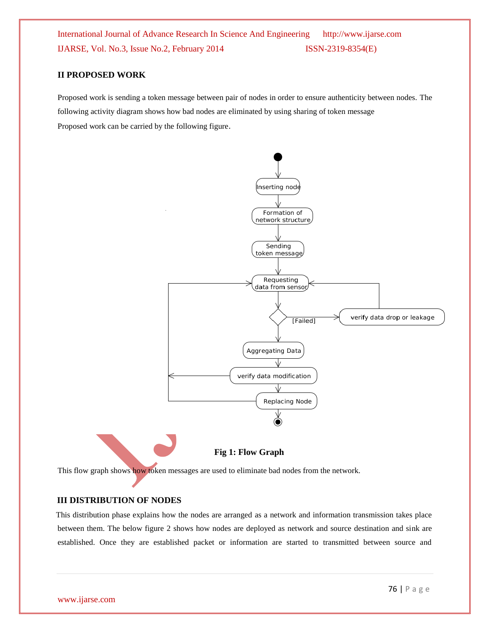### **II PROPOSED WORK**

Proposed work is sending a token message between pair of nodes in order to ensure authenticity between nodes. The following activity diagram shows how bad nodes are eliminated by using sharing of token message Proposed work can be carried by the following figure.



**Fig 1: Flow Graph**

This flow graph shows how token messages are used to eliminate bad nodes from the network.

#### **III DISTRIBUTION OF NODES**

This distribution phase explains how the nodes are arranged as a network and information transmission takes place between them. The below figure 2 shows how nodes are deployed as network and source destination and sink are established. Once they are established packet or information are started to transmitted between source and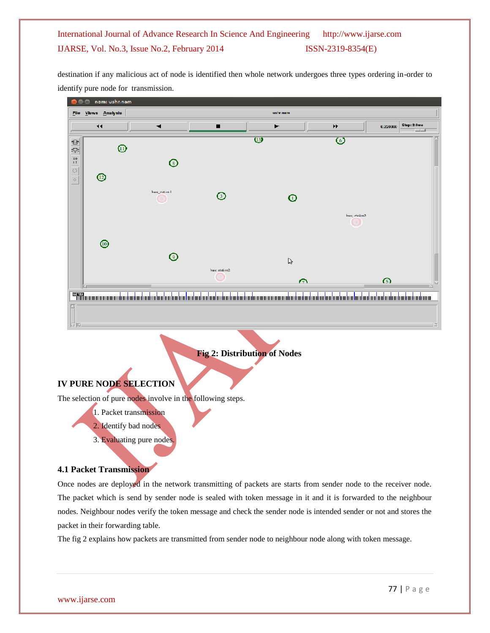destination if any malicious act of node is identified then whole network undergoes three types ordering in-order to identify pure node for transmission.



### **Fig 2: Distribution of Nodes**

### **IV PURE NODE SELECTION**

The selection of pure nodes involve in the following steps.

1. Packet transmission

2. Identify bad nodes

3. Evaluating pure nodes.

### **4.1 Packet Transmission**

Once nodes are deployed in the network transmitting of packets are starts from sender node to the receiver node. The packet which is send by sender node is sealed with token message in it and it is forwarded to the neighbour nodes. Neighbour nodes verify the token message and check the sender node is intended sender or not and stores the packet in their forwarding table.

The fig 2 explains how packets are transmitted from sender node to neighbour node along with token message.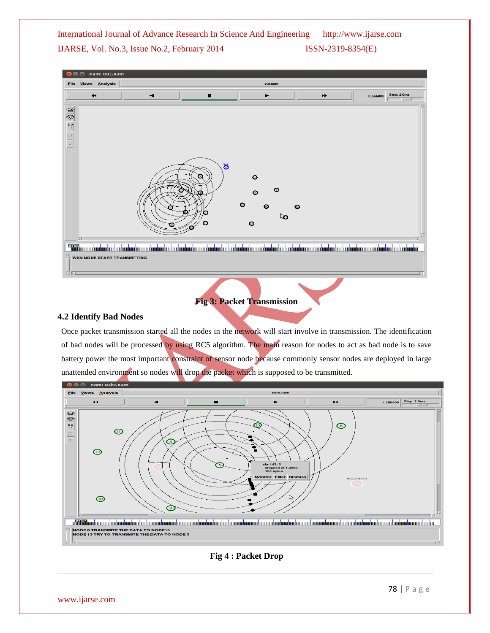

## **Fig 3: Packet Transmission**

### **4.2 Identify Bad Nodes**

Once packet transmission started all the nodes in the network will start involve in transmission. The identification of bad nodes will be processed by using RC5 algorithm. The main reason for nodes to act as bad node is to save battery power the most important constraint of sensor node because commonly sensor nodes are deployed in large unattended environment so nodes will drop the packet which is supposed to be transmitted.



### **Fig 4 : Packet Drop**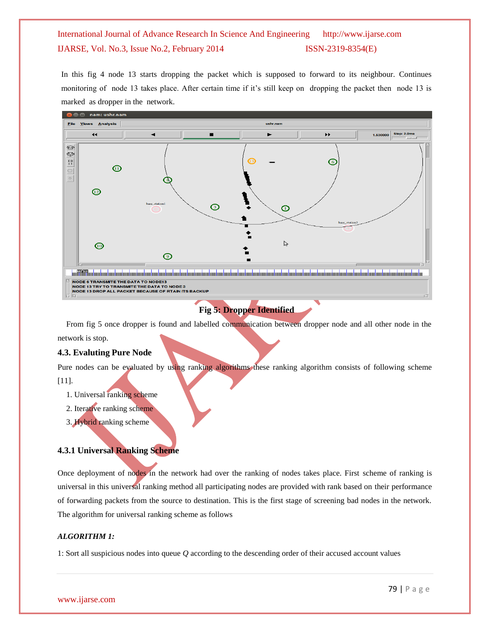In this fig 4 node 13 starts dropping the packet which is supposed to forward to its neighbour. Continues monitoring of node 13 takes place. After certain time if it's still keep on dropping the packet then node 13 is marked as dropper in the network.



## **Fig 5: Dropper Identified**

From fig 5 once dropper is found and labelled communication between dropper node and all other node in the network is stop.

### **4.3. Evaluting Pure Node**

Pure nodes can be evaluated by using ranking algorithms these ranking algorithm consists of following scheme [11].

- 1. Universal ranking scheme
- 2. Iterative ranking scheme
- 3. Hybrid ranking scheme

### **4.3.1 Universal Ranking Scheme**

Once deployment of nodes in the network had over the ranking of nodes takes place. First scheme of ranking is universal in this universal ranking method all participating nodes are provided with rank based on their performance of forwarding packets from the source to destination. This is the first stage of screening bad nodes in the network. The algorithm for universal ranking scheme as follows

### *ALGORITHM 1:*

1: Sort all suspicious nodes into queue *Q* according to the descending order of their accused account values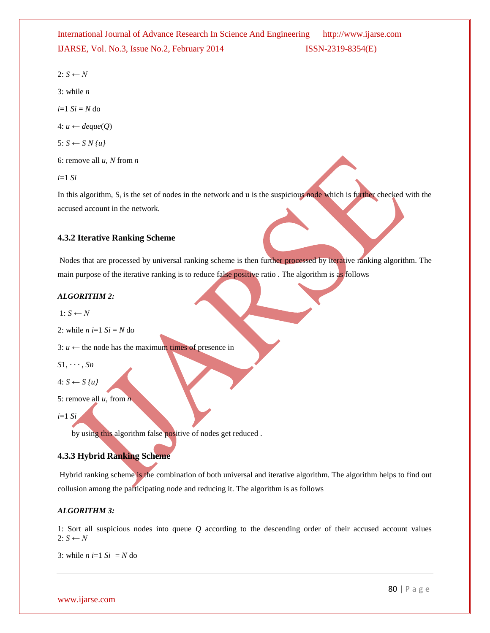$2: S \leftarrow N$ 

3: while *n*

 $i=1$   $Si = N$  do

4: *u ← deque*(*Q*)

$$
5: S \leftarrow S N \{u\}
$$

6: remove all *u, N* from *n*

*i*=1 *Si*

In this algorithm,  $S_i$  is the set of nodes in the network and u is the suspicious node which is further checked with the accused account in the network.

### **4.3.2 Iterative Ranking Scheme**

Nodes that are processed by universal ranking scheme is then further processed by iterative ranking algorithm. The main purpose of the iterative ranking is to reduce false positive ratio . The algorithm is as follows

#### *ALGORITHM 2:*

 $1: S \leftarrow N$ 

```
2: while n i=1 Si = N do
```
3:  $u \leftarrow$  the node has the maximum times of presence in

$$
S1, \cdots, Sn
$$

$$
4: S \leftarrow S \{u\}
$$

5: remove all *u,* from *n*

*i*=1 *Si*

by using this algorithm false positive of nodes get reduced.

### **4.3.3 Hybrid Ranking Scheme**

Hybrid ranking scheme is the combination of both universal and iterative algorithm. The algorithm helps to find out collusion among the participating node and reducing it. The algorithm is as follows

### *ALGORITHM 3:*

1: Sort all suspicious nodes into queue *Q* according to the descending order of their accused account values  $2: S \leftarrow N$ 

3: while  $n = 1$  *Si* = *N* do